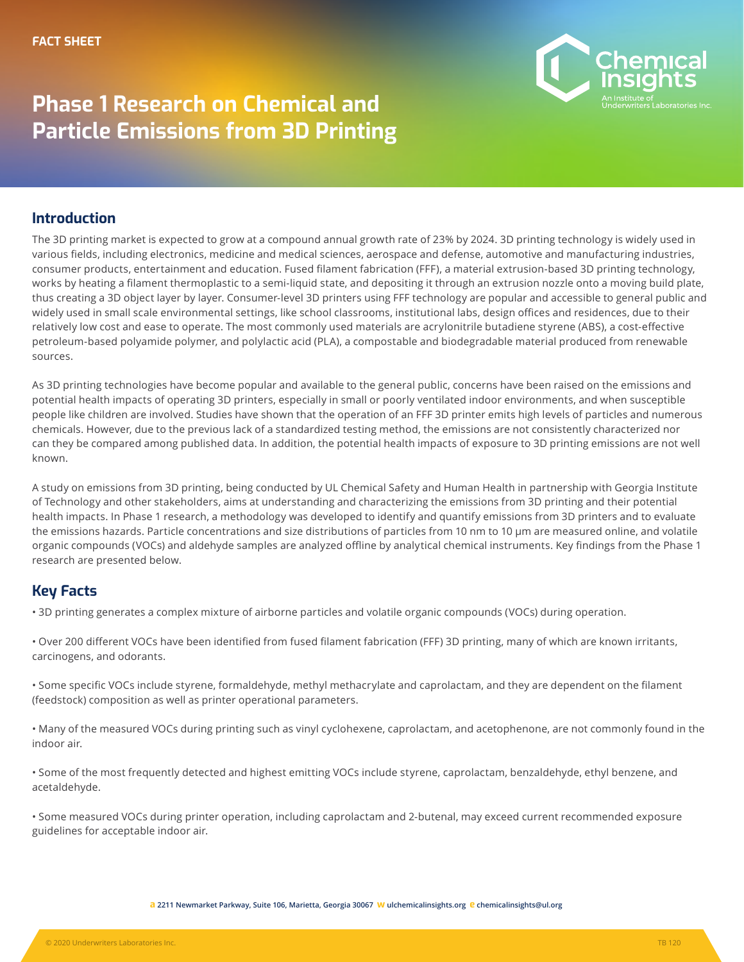

## **Phase 1 Research on Chemical and Particle Emissions from 3D Printing**

## **Introduction**

The 3D printing market is expected to grow at a compound annual growth rate of 23% by 2024. 3D printing technology is widely used in various fields, including electronics, medicine and medical sciences, aerospace and defense, automotive and manufacturing industries, consumer products, entertainment and education. Fused filament fabrication (FFF), a material extrusion-based 3D printing technology, works by heating a filament thermoplastic to a semi-liquid state, and depositing it through an extrusion nozzle onto a moving build plate, thus creating a 3D object layer by layer. Consumer-level 3D printers using FFF technology are popular and accessible to general public and widely used in small scale environmental settings, like school classrooms, institutional labs, design offices and residences, due to their relatively low cost and ease to operate. The most commonly used materials are acrylonitrile butadiene styrene (ABS), a cost-effective petroleum-based polyamide polymer, and polylactic acid (PLA), a compostable and biodegradable material produced from renewable sources.

As 3D printing technologies have become popular and available to the general public, concerns have been raised on the emissions and potential health impacts of operating 3D printers, especially in small or poorly ventilated indoor environments, and when susceptible people like children are involved. Studies have shown that the operation of an FFF 3D printer emits high levels of particles and numerous chemicals. However, due to the previous lack of a standardized testing method, the emissions are not consistently characterized nor can they be compared among published data. In addition, the potential health impacts of exposure to 3D printing emissions are not well known.

A study on emissions from 3D printing, being conducted by UL Chemical Safety and Human Health in partnership with Georgia Institute of Technology and other stakeholders, aims at understanding and characterizing the emissions from 3D printing and their potential health impacts. In Phase 1 research, a methodology was developed to identify and quantify emissions from 3D printers and to evaluate the emissions hazards. Particle concentrations and size distributions of particles from 10 nm to 10 µm are measured online, and volatile organic compounds (VOCs) and aldehyde samples are analyzed offline by analytical chemical instruments. Key findings from the Phase 1 research are presented below.

## **Key Facts**

• 3D printing generates a complex mixture of airborne particles and volatile organic compounds (VOCs) during operation.

• Over 200 different VOCs have been identified from fused filament fabrication (FFF) 3D printing, many of which are known irritants, carcinogens, and odorants.

• Some specific VOCs include styrene, formaldehyde, methyl methacrylate and caprolactam, and they are dependent on the filament (feedstock) composition as well as printer operational parameters.

• Many of the measured VOCs during printing such as vinyl cyclohexene, caprolactam, and acetophenone, are not commonly found in the indoor air.

• Some of the most frequently detected and highest emitting VOCs include styrene, caprolactam, benzaldehyde, ethyl benzene, and acetaldehyde.

• Some measured VOCs during printer operation, including caprolactam and 2-butenal, may exceed current recommended exposure guidelines for acceptable indoor air.